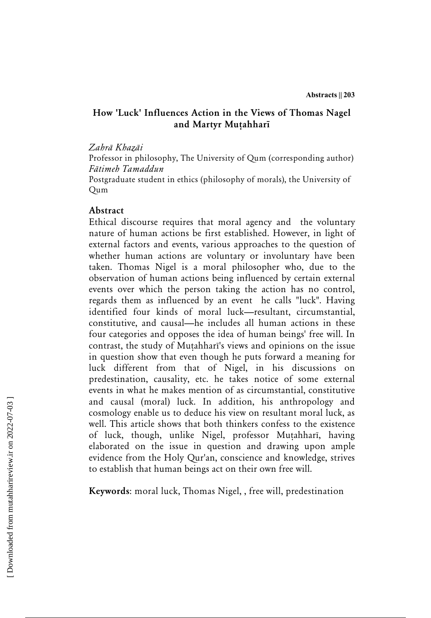# **How 'Luck' Influences Action in the Views of Thomas Nagel**  and Martyr Mutahharī

#### *ZahrÁ KhazÁi*

Professor in philosophy, The University of Qum (corresponding author) *FÁtimeh Tamaddun* 

Postgraduate student in ethics (philosophy of morals), the University of Qum

#### **Abstract**

Ethical discourse requires that moral agency and the voluntary nature of human actions be first established. However, in light of external factors and events, various approaches to the question of whether human actions are voluntary or involuntary have been taken. Thomas Nigel is a moral philosopher who, due to the observation of human actions being influenced by certain external events over which the person taking the action has no control, regards them as influenced by an event he calls "luck". Having identified four kinds of moral luck—resultant, circumstantial, constitutive, and causal—he includes all human actions in these four categories and opposes the idea of human beings' free will. In contrast, the study of Muṭahharī's views and opinions on the issue in question show that even though he puts forward a meaning for luck different from that of Nigel, in his discussions on predestination, causality, etc. he takes notice of some external events in what he makes mention of as circumstantial, constitutive and causal (moral) luck. In addition, his anthropology and cosmology enable us to deduce his view on resultant moral luck, as well. This article shows that both thinkers confess to the existence of luck, though, unlike Nigel, professor Mutahharī, having elaborated on the issue in question and drawing upon ample evidence from the Holy Qur'an, conscience and knowledge, strives to establish that human beings act on their own free will.

**Keywords**: moral luck, Thomas Nigel, , free will, predestination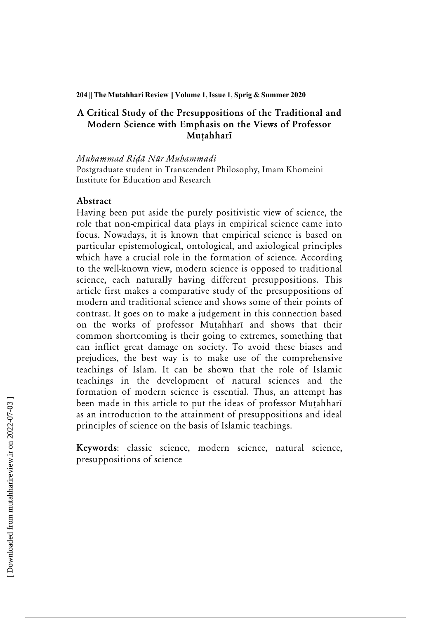#### **204 || The Mutahhari Review || Volume 1, Issue 1, Sprig & Summer 2020**

# **A Critical Study of the Presuppositions of the Traditional and Modern Science with Emphasis on the Views of Professor MuÔahharÐ**

*Muhammad RiÃÁ NÙr Muhammadi*

Postgraduate student in Transcendent Philosophy, Imam Khomeini Institute for Education and Research

### **Abstract**

Having been put aside the purely positivistic view of science, the role that non-empirical data plays in empirical science came into focus. Nowadays, it is known that empirical science is based on particular epistemological, ontological, and axiological principles which have a crucial role in the formation of science. According to the well-known view, modern science is opposed to traditional science, each naturally having different presuppositions. This article first makes a comparative study of the presuppositions of modern and traditional science and shows some of their points of contrast. It goes on to make a judgement in this connection based on the works of professor Mutahharī and shows that their common shortcoming is their going to extremes, something that can inflict great damage on society. To avoid these biases and prejudices, the best way is to make use of the comprehensive teachings of Islam. It can be shown that the role of Islamic teachings in the development of natural sciences and the formation of modern science is essential. Thus, an attempt has been made in this article to put the ideas of professor Mutahharī as an introduction to the attainment of presuppositions and ideal principles of science on the basis of Islamic teachings.

**Keywords**: classic science, modern science, natural science, presuppositions of science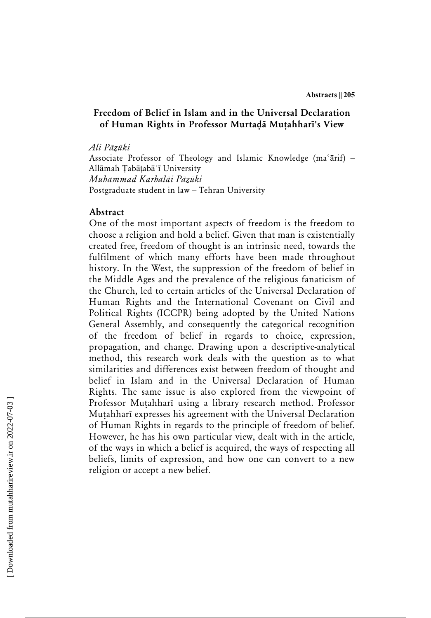### **Freedom of Belief in Islam and in the Universal Declaration**  of Human Rights in Professor Murtada Mutahharī's View

*Ali PÁzÙki* 

Associate Professor of Theology and Islamic Knowledge (ma'arif)  $-$ Allāmah Ṭabāṭabāʾī University *Muhammad Karbalāi Pāzūki* Postgraduate student in law – Tehran University

#### **Abstract**

One of the most important aspects of freedom is the freedom to choose a religion and hold a belief. Given that man is existentially created free, freedom of thought is an intrinsic need, towards the fulfilment of which many efforts have been made throughout history. In the West, the suppression of the freedom of belief in the Middle Ages and the prevalence of the religious fanaticism of the Church, led to certain articles of the Universal Declaration of Human Rights and the International Covenant on Civil and Political Rights (ICCPR) being adopted by the United Nations General Assembly, and consequently the categorical recognition of the freedom of belief in regards to choice, expression, propagation, and change. Drawing upon a descriptive-analytical method, this research work deals with the question as to what similarities and differences exist between freedom of thought and belief in Islam and in the Universal Declaration of Human Rights. The same issue is also explored from the viewpoint of Professor Mutahharī using a library research method. Professor Mutahharī expresses his agreement with the Universal Declaration of Human Rights in regards to the principle of freedom of belief. However, he has his own particular view, dealt with in the article, of the ways in which a belief is acquired, the ways of respecting all beliefs, limits of expression, and how one can convert to a new religion or accept a new belief.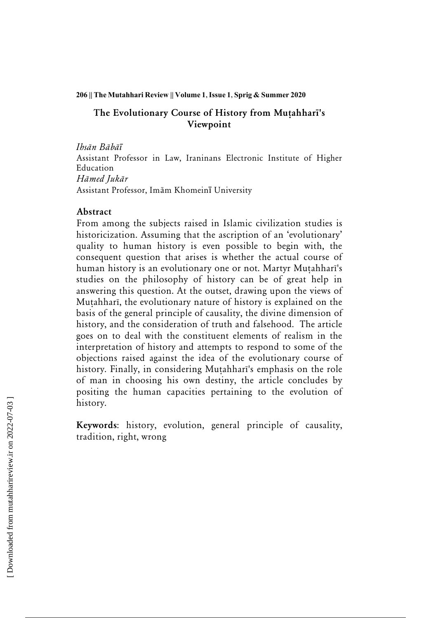#### **206 || The Mutahhari Review || Volume 1, Issue 1, Sprig & Summer 2020**

# The Evolutionary Course of History from Mutahhari's **Viewpoint**

*IhsÁn BÁbÁī*

Assistant Professor in Law, Iraninans Electronic Institute of Higher Education *HÁmed JukÁr* Assistant Professor, Imām Khomeinī University

### **Abstract**

From among the subjects raised in Islamic civilization studies is historicization. Assuming that the ascription of an 'evolutionary' quality to human history is even possible to begin with, the consequent question that arises is whether the actual course of human history is an evolutionary one or not. Martyr Mutahharī's studies on the philosophy of history can be of great help in answering this question. At the outset, drawing upon the views of Mutahharī, the evolutionary nature of history is explained on the basis of the general principle of causality, the divine dimension of history, and the consideration of truth and falsehood. The article goes on to deal with the constituent elements of realism in the interpretation of history and attempts to respond to some of the objections raised against the idea of the evolutionary course of history. Finally, in considering Mutahharī's emphasis on the role of man in choosing his own destiny, the article concludes by positing the human capacities pertaining to the evolution of history.

**Keywords**: history, evolution, general principle of causality, tradition, right, wrong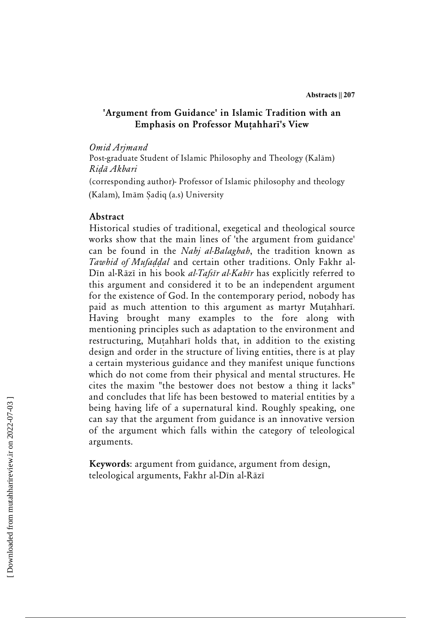### **'Argument from Guidance' in Islamic Tradition with an Emphasis on Professor Mutahharī's View**

#### *Omid Arjmand*

Post-graduate Student of Islamic Philosophy and Theology (Kalām) *RiÃÁ Akbari*

(corresponding author)- Professor of Islamic philosophy and theology (Kalam), Imām Sadiq (a.s) University

### **Abstract**

Historical studies of traditional, exegetical and theological source works show that the main lines of 'the argument from guidance' can be found in the *Nahj al-Balaghah*, the tradition known as Tawhid of Mufaddal and certain other traditions. Only Fakhr al-Dīn al-Rāzī in his book *al-Tafsīr al-Kabīr* has explicitly referred to this argument and considered it to be an independent argument for the existence of God. In the contemporary period, nobody has paid as much attention to this argument as martyr Mutahharī. Having brought many examples to the fore along with mentioning principles such as adaptation to the environment and restructuring, Mutahharī holds that, in addition to the existing design and order in the structure of living entities, there is at play a certain mysterious guidance and they manifest unique functions which do not come from their physical and mental structures. He cites the maxim "the bestower does not bestow a thing it lacks" and concludes that life has been bestowed to material entities by a being having life of a supernatural kind. Roughly speaking, one can say that the argument from guidance is an innovative version of the argument which falls within the category of teleological arguments.

**Keywords**: argument from guidance, argument from design, teleological arguments, Fakhr al-Dīn al-Rāzī